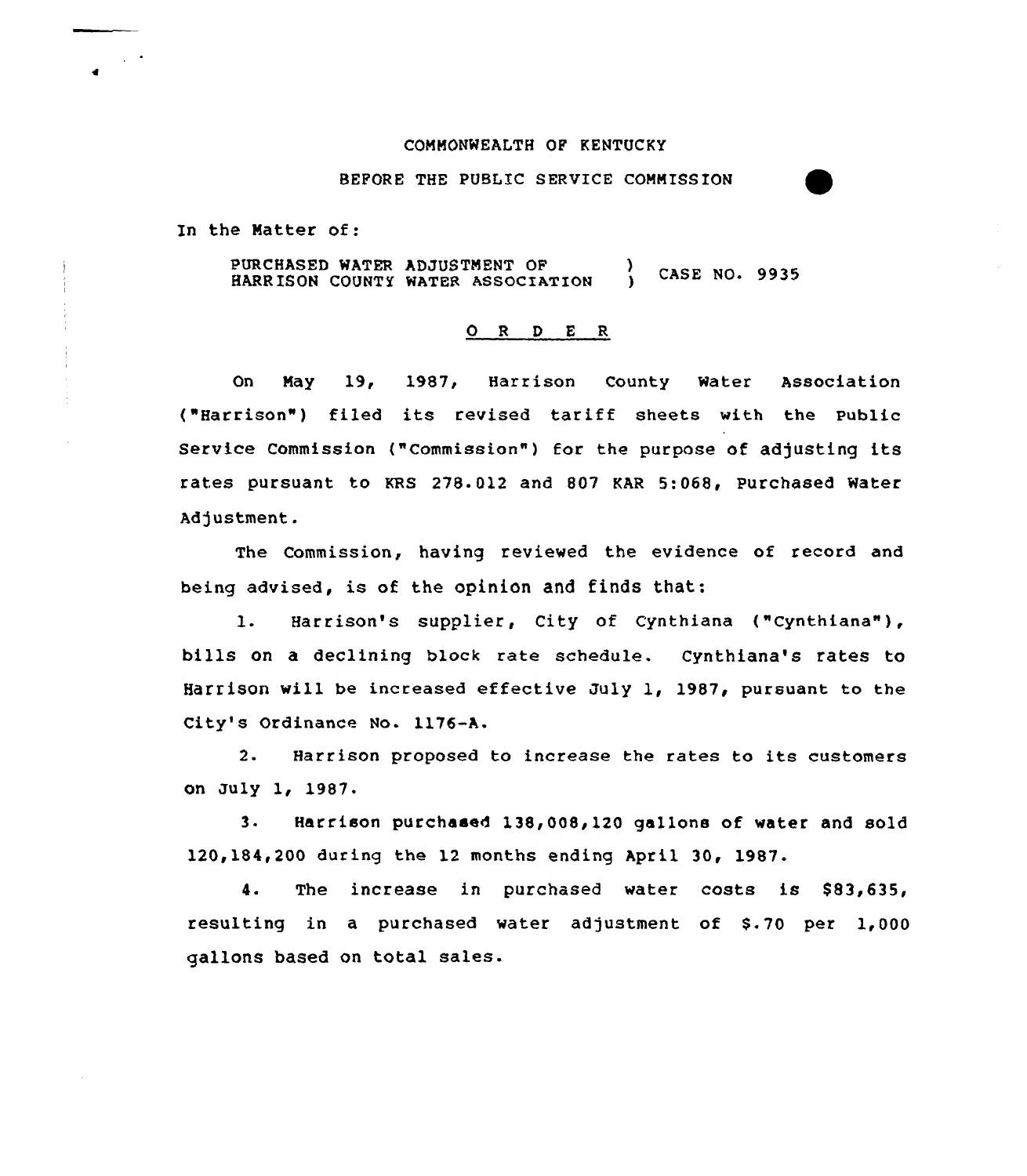#### COMMONWEALTH OP KENTUCKY

BEPORE THE PUBLIC SERVICE COMMISSION

In the Matter of:

 $\sim$   $\sim$ 

PURCHASED WATER ADJUSTMENT OF (3) CASE NO. 9935 HARRISON COUNTY WATER ASSOCIATION

# ORDER

On May 19, 1987, Harrison County Water Association ("Harrison") filed its revised tariff sheets with the public Service Commission ("Commission") for the purpose of adjusting its rates pursuant to KRS 278.012 and 807 KAR 5:068, Purchased Water Adjustment.

The Commission, having reviewed the evidence of record and being advised, is of the opinion and finds that:

1. Harrison's supplier, City of Cynthiana ("Cynthiana"), bills on a declining black rate schedule. Cynthiana's rates to Harrison will be increased effective July 1, 1987, pursuant to the City's Ordinance No. 1176-A.

2. Harrison proposed to increase the rates to its customers on July 1, 1987.

3. Harrison purchased 138,008,120 gallons of water and sold 120,184,200 during the 12 months ending April 30, 1987.

4. The increase in purchased water costs is \$83,635, resulting in a purchased water adjustment of S-70 per 1,000 gallons based on total sales.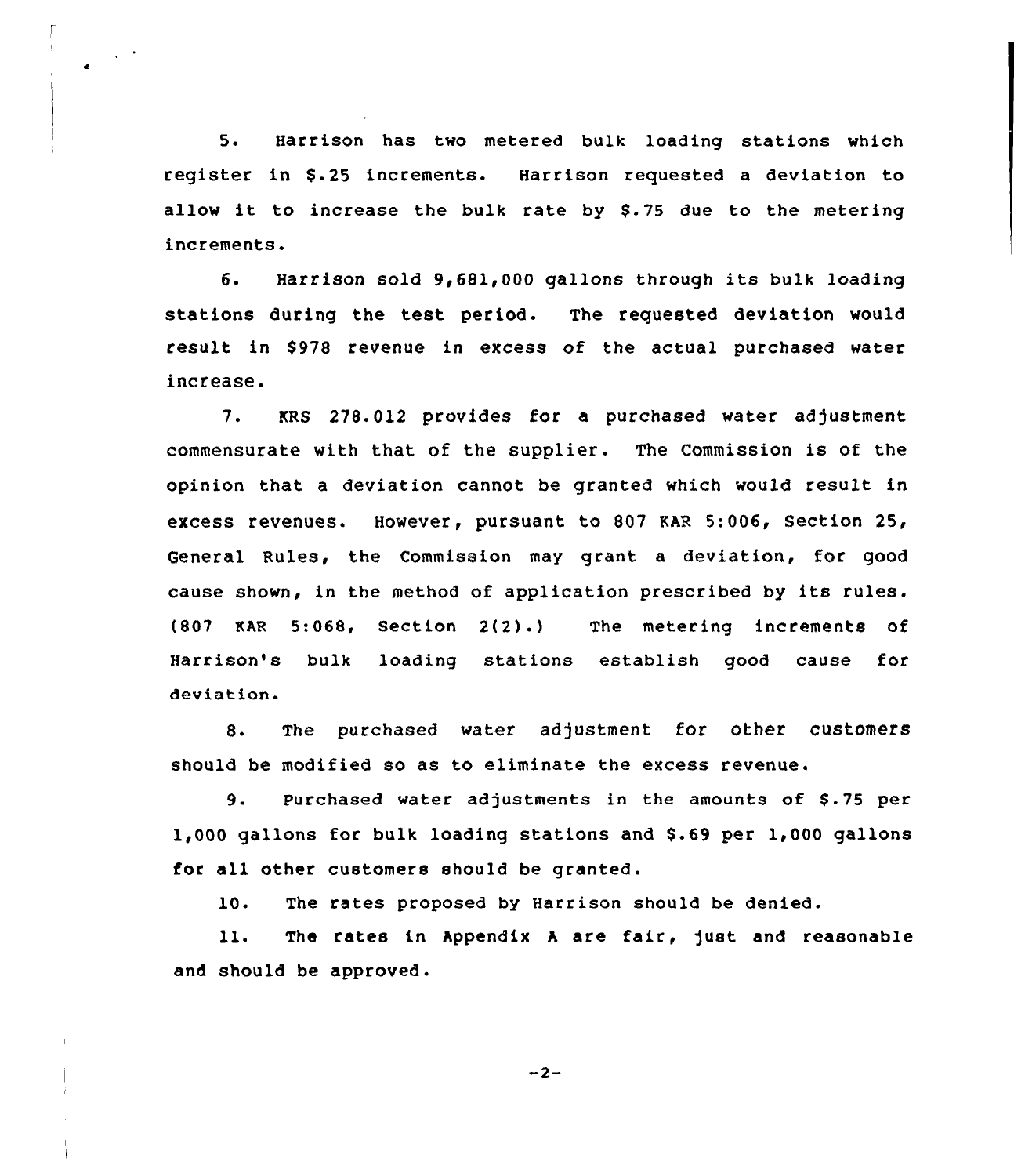5. Harrison has two metered bulk loading stations which register in \$.25 increments. Harrison requested a deviation to allow it to increase the bulk rate by \$.75 due to the metering increments.

6. Harrison sold 9,681,000 gallons through its bulk loading stations during the test period. The requested deviation would result in \$978 revenue in excess of the actual purchased water increase.

7. KRS 278.012 provides for a purchased water adjustment commensurate with that of the supplier. The Commission is of the opinion that a deviation cannot be granted which would result in excess revenues. However, pursuant to 807 EAR 5:006, Section 25, General Rules, the Commission may grant a deviation, for good cause shown, in the method of application prescribed by its rules. (807 EAR 5:068, Section 2(2).} The metering increments of Harrison's bulk loading stations establish good cause for deviation.

8. The purchased water adjustment for other customers should be modified so as to eliminate the excess revenue.

9. Purchased water adjustments in the amounts of \$.75 per 1,000 gallons for bulk loading stations and \$.69 per 1,000 gallons for all other customers should be granted.

10. The rates proposed by Harrison should be denied.

ll. The rates in Appendix A are fair, just and reasonable and should be approved.

 $-2-$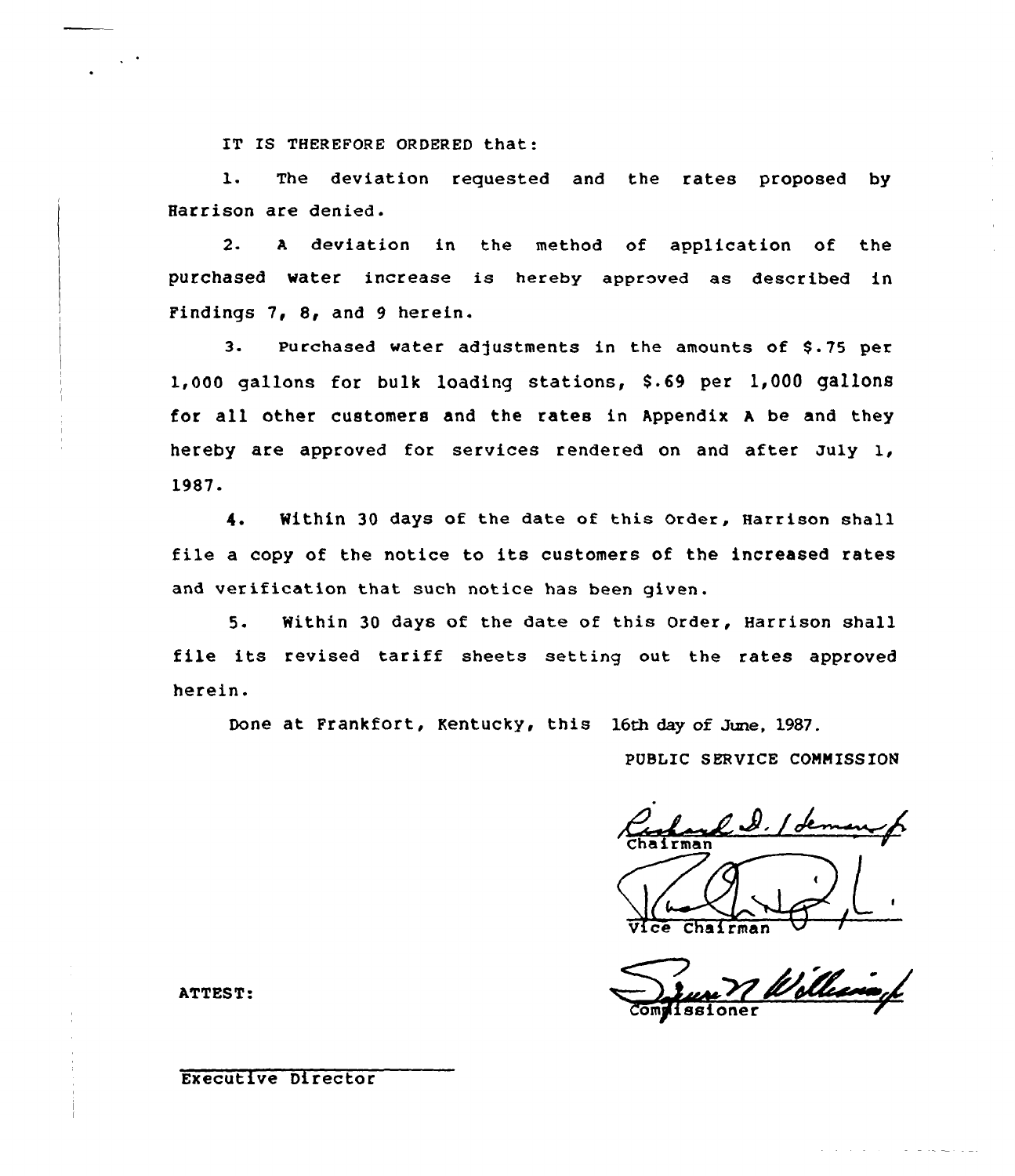IT IS THEREFORE ORDERED that:

1. The deviation requested and the rates proposed by Harrison are denied.

2. <sup>A</sup> deviation in the method of application of the purchased water increase is hereby approved as described in Findings 7, 8, and 9 herein.

3. Purchased water adjustments in the amounts of \$.75 per 1,000 gallons for bulk loading stations, \$.69 per 1,000 gallons for all other customers and the rates in Appendix <sup>A</sup> be and they hereby are approved for services rendered on and after July 1, 1987.

4. Within 30 days of the date of this Order, Harrison shall file a copy of the notice to its customers of the increased rates and verification that such notice has been given.

5. Within 30 days of the date of this Order, Harrison shall file its revised tariff sheets setting out the rates approved herein.

Done at Frankfort, Kentucky, this 16th day of June, 1987.

PUBLIC SERVICE COMMISSION

 $\ell, \ell, \ell$ Vice Chairman

Complissione

ATTEST:

# Executive Director